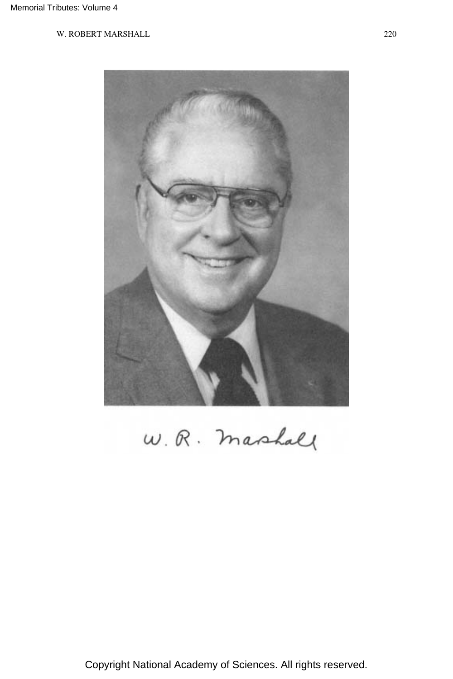

W. R. mashall

Copyright National Academy of Sciences. All rights reserved.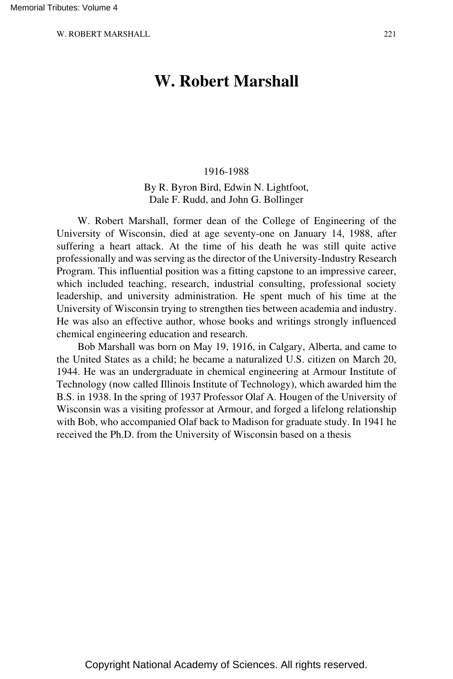# **W. Robert Marshall**

#### 1916-1988

By R. Byron Bird, Edwin N. Lightfoot, Dale F. Rudd, and John G. Bollinger

W. Robert Marshall, former dean of the College of Engineering of the University of Wisconsin, died at age seventy-one on January 14, 1988, after suffering a heart attack. At the time of his death he was still quite active professionally and was serving as the director of the University-Industry Research Program. This influential position was a fitting capstone to an impressive career, which included teaching, research, industrial consulting, professional society leadership, and university administration. He spent much of his time at the University of Wisconsin trying to strengthen ties between academia and industry. He was also an effective author, whose books and writings strongly influenced chemical engineering education and research.

Bob Marshall was born on May 19, 1916, in Calgary, Alberta, and came to the United States as a child; he became a naturalized U.S. citizen on March 20, 1944. He was an undergraduate in chemical engineering at Armour Institute of Technology (now called Illinois Institute of Technology), which awarded him the B.S. in 1938. In the spring of 1937 Professor Olaf A. Hougen of the University of Wisconsin was a visiting professor at Armour, and forged a lifelong relationship with Bob, who accompanied Olaf back to Madison for graduate study. In 1941 he received the Ph.D. from the University of Wisconsin based on a thesis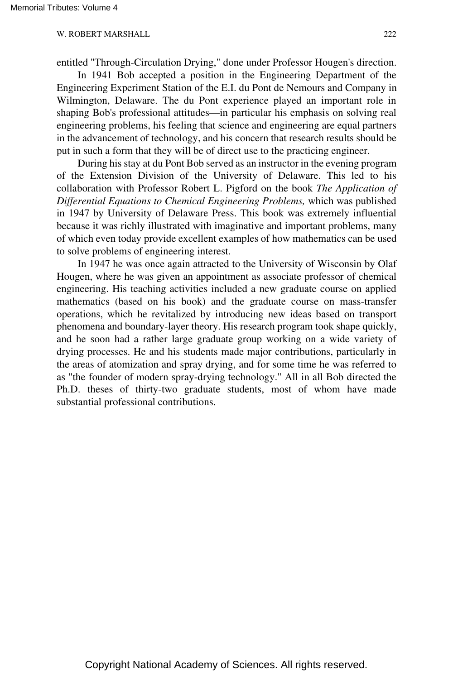entitled ''Through-Circulation Drying," done under Professor Hougen's direction.

In 1941 Bob accepted a position in the Engineering Department of the Engineering Experiment Station of the E.I. du Pont de Nemours and Company in Wilmington, Delaware. The du Pont experience played an important role in shaping Bob's professional attitudes—in particular his emphasis on solving real engineering problems, his feeling that science and engineering are equal partners in the advancement of technology, and his concern that research results should be put in such a form that they will be of direct use to the practicing engineer.

During his stay at du Pont Bob served as an instructor in the evening program of the Extension Division of the University of Delaware. This led to his collaboration with Professor Robert L. Pigford on the book *The Application of Differential Equations to Chemical Engineering Problems,* which was published in 1947 by University of Delaware Press. This book was extremely influential because it was richly illustrated with imaginative and important problems, many of which even today provide excellent examples of how mathematics can be used to solve problems of engineering interest.

In 1947 he was once again attracted to the University of Wisconsin by Olaf Hougen, where he was given an appointment as associate professor of chemical engineering. His teaching activities included a new graduate course on applied mathematics (based on his book) and the graduate course on mass-transfer operations, which he revitalized by introducing new ideas based on transport phenomena and boundary-layer theory. His research program took shape quickly, and he soon had a rather large graduate group working on a wide variety of drying processes. He and his students made major contributions, particularly in the areas of atomization and spray drying, and for some time he was referred to as "the founder of modern spray-drying technology." All in all Bob directed the Ph.D. theses of thirty-two graduate students, most of whom have made substantial professional contributions.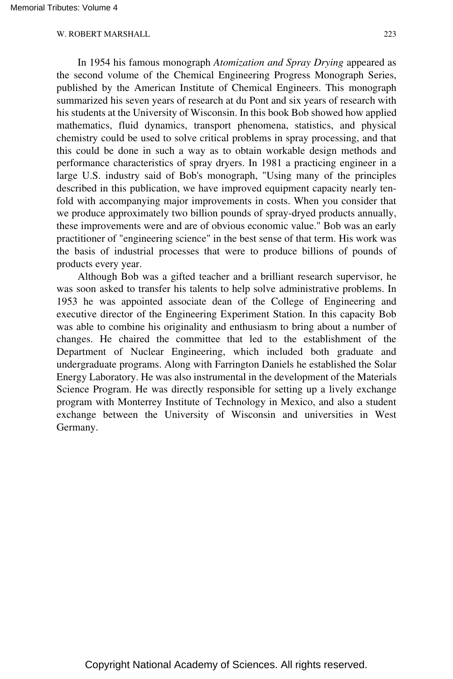In 1954 his famous monograph *Atomization and Spray Drying* appeared as the second volume of the Chemical Engineering Progress Monograph Series, published by the American Institute of Chemical Engineers. This monograph summarized his seven years of research at du Pont and six years of research with his students at the University of Wisconsin. In this book Bob showed how applied mathematics, fluid dynamics, transport phenomena, statistics, and physical chemistry could be used to solve critical problems in spray processing, and that this could be done in such a way as to obtain workable design methods and performance characteristics of spray dryers. In 1981 a practicing engineer in a large U.S. industry said of Bob's monograph, "Using many of the principles described in this publication, we have improved equipment capacity nearly tenfold with accompanying major improvements in costs. When you consider that we produce approximately two billion pounds of spray-dryed products annually, these improvements were and are of obvious economic value." Bob was an early practitioner of "engineering science" in the best sense of that term. His work was the basis of industrial processes that were to produce billions of pounds of products every year.

Although Bob was a gifted teacher and a brilliant research supervisor, he was soon asked to transfer his talents to help solve administrative problems. In 1953 he was appointed associate dean of the College of Engineering and executive director of the Engineering Experiment Station. In this capacity Bob was able to combine his originality and enthusiasm to bring about a number of changes. He chaired the committee that led to the establishment of the Department of Nuclear Engineering, which included both graduate and undergraduate programs. Along with Farrington Daniels he established the Solar Energy Laboratory. He was also instrumental in the development of the Materials Science Program. He was directly responsible for setting up a lively exchange program with Monterrey Institute of Technology in Mexico, and also a student exchange between the University of Wisconsin and universities in West Germany.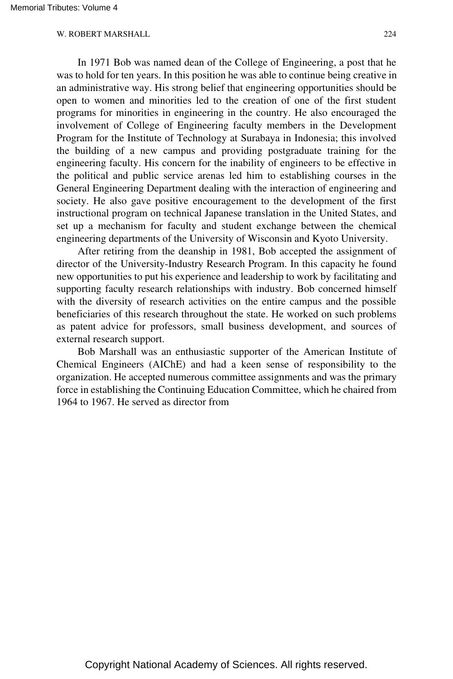In 1971 Bob was named dean of the College of Engineering, a post that he was to hold for ten years. In this position he was able to continue being creative in an administrative way. His strong belief that engineering opportunities should be open to women and minorities led to the creation of one of the first student programs for minorities in engineering in the country. He also encouraged the involvement of College of Engineering faculty members in the Development Program for the Institute of Technology at Surabaya in Indonesia; this involved the building of a new campus and providing postgraduate training for the engineering faculty. His concern for the inability of engineers to be effective in the political and public service arenas led him to establishing courses in the General Engineering Department dealing with the interaction of engineering and society. He also gave positive encouragement to the development of the first instructional program on technical Japanese translation in the United States, and set up a mechanism for faculty and student exchange between the chemical engineering departments of the University of Wisconsin and Kyoto University.

After retiring from the deanship in 1981, Bob accepted the assignment of director of the University-Industry Research Program. In this capacity he found new opportunities to put his experience and leadership to work by facilitating and supporting faculty research relationships with industry. Bob concerned himself with the diversity of research activities on the entire campus and the possible beneficiaries of this research throughout the state. He worked on such problems as patent advice for professors, small business development, and sources of external research support.

Bob Marshall was an enthusiastic supporter of the American Institute of Chemical Engineers (AIChE) and had a keen sense of responsibility to the organization. He accepted numerous committee assignments and was the primary force in establishing the Continuing Education Committee, which he chaired from 1964 to 1967. He served as director from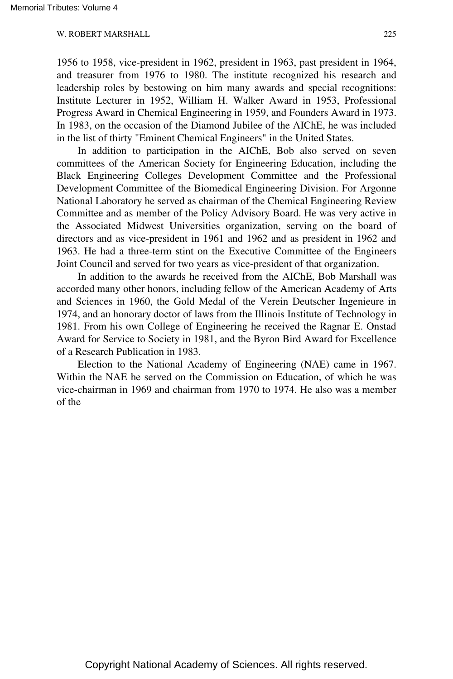1956 to 1958, vice-president in 1962, president in 1963, past president in 1964, and treasurer from 1976 to 1980. The institute recognized his research and leadership roles by bestowing on him many awards and special recognitions: Institute Lecturer in 1952, William H. Walker Award in 1953, Professional Progress Award in Chemical Engineering in 1959, and Founders Award in 1973. In 1983, on the occasion of the Diamond Jubilee of the AIChE, he was included in the list of thirty "Eminent Chemical Engineers" in the United States.

In addition to participation in the AIChE, Bob also served on seven committees of the American Society for Engineering Education, including the Black Engineering Colleges Development Committee and the Professional Development Committee of the Biomedical Engineering Division. For Argonne National Laboratory he served as chairman of the Chemical Engineering Review Committee and as member of the Policy Advisory Board. He was very active in the Associated Midwest Universities organization, serving on the board of directors and as vice-president in 1961 and 1962 and as president in 1962 and 1963. He had a three-term stint on the Executive Committee of the Engineers Joint Council and served for two years as vice-president of that organization.

In addition to the awards he received from the AIChE, Bob Marshall was accorded many other honors, including fellow of the American Academy of Arts and Sciences in 1960, the Gold Medal of the Verein Deutscher Ingenieure in 1974, and an honorary doctor of laws from the Illinois Institute of Technology in 1981. From his own College of Engineering he received the Ragnar E. Onstad Award for Service to Society in 1981, and the Byron Bird Award for Excellence of a Research Publication in 1983.

Election to the National Academy of Engineering (NAE) came in 1967. Within the NAE he served on the Commission on Education, of which he was vice-chairman in 1969 and chairman from 1970 to 1974. He also was a member of the